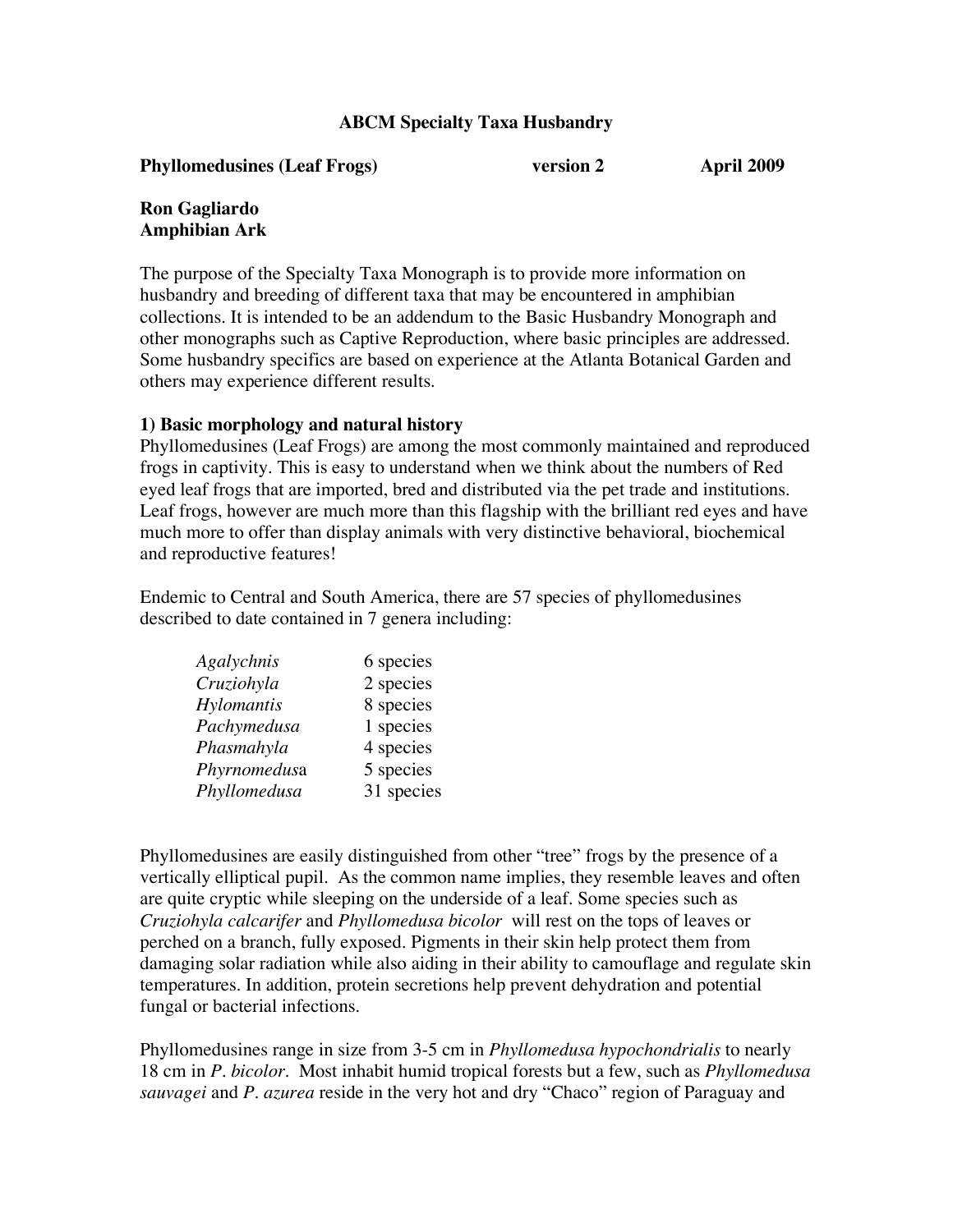## **ABCM Specialty Taxa Husbandry**

**Phyllomedusines (Leaf Frogs) version 2 April 2009** 

## **Ron Gagliardo Amphibian Ark**

The purpose of the Specialty Taxa Monograph is to provide more information on husbandry and breeding of different taxa that may be encountered in amphibian collections. It is intended to be an addendum to the Basic Husbandry Monograph and other monographs such as Captive Reproduction, where basic principles are addressed. Some husbandry specifics are based on experience at the Atlanta Botanical Garden and others may experience different results.

### **1) Basic morphology and natural history**

Phyllomedusines (Leaf Frogs) are among the most commonly maintained and reproduced frogs in captivity. This is easy to understand when we think about the numbers of Red eyed leaf frogs that are imported, bred and distributed via the pet trade and institutions. Leaf frogs, however are much more than this flagship with the brilliant red eyes and have much more to offer than display animals with very distinctive behavioral, biochemical and reproductive features!

Endemic to Central and South America, there are 57 species of phyllomedusines described to date contained in 7 genera including:

| 6 species  |
|------------|
| 2 species  |
| 8 species  |
| 1 species  |
| 4 species  |
| 5 species  |
| 31 species |
|            |

Phyllomedusines are easily distinguished from other "tree" frogs by the presence of a vertically elliptical pupil. As the common name implies, they resemble leaves and often are quite cryptic while sleeping on the underside of a leaf. Some species such as *Cruziohyla calcarifer* and *Phyllomedusa bicolor* will rest on the tops of leaves or perched on a branch, fully exposed. Pigments in their skin help protect them from damaging solar radiation while also aiding in their ability to camouflage and regulate skin temperatures. In addition, protein secretions help prevent dehydration and potential fungal or bacterial infections.

Phyllomedusines range in size from 3-5 cm in *Phyllomedusa hypochondrialis* to nearly 18 cm in *P. bicolor*. Most inhabit humid tropical forests but a few, such as *Phyllomedusa sauvagei* and *P. azurea* reside in the very hot and dry "Chaco" region of Paraguay and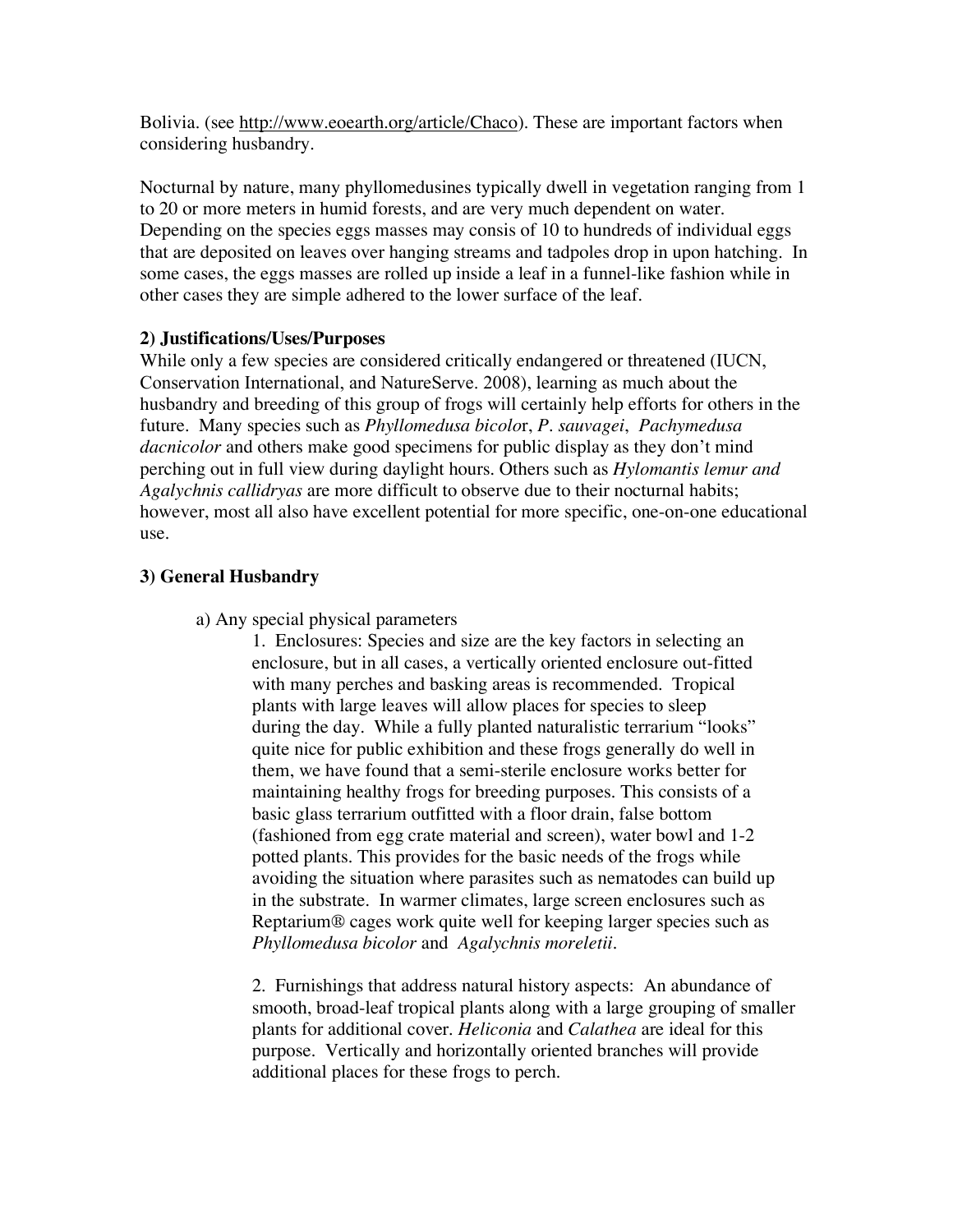Bolivia. (see http://www.eoearth.org/article/Chaco). These are important factors when considering husbandry.

Nocturnal by nature, many phyllomedusines typically dwell in vegetation ranging from 1 to 20 or more meters in humid forests, and are very much dependent on water. Depending on the species eggs masses may consis of 10 to hundreds of individual eggs that are deposited on leaves over hanging streams and tadpoles drop in upon hatching. In some cases, the eggs masses are rolled up inside a leaf in a funnel-like fashion while in other cases they are simple adhered to the lower surface of the leaf.

### **2) Justifications/Uses/Purposes**

While only a few species are considered critically endangered or threatened (IUCN, Conservation International, and NatureServe. 2008), learning as much about the husbandry and breeding of this group of frogs will certainly help efforts for others in the future. Many species such as *Phyllomedusa bicolo*r, *P. sauvagei*, *Pachymedusa dacnicolor* and others make good specimens for public display as they don't mind perching out in full view during daylight hours. Others such as *Hylomantis lemur and Agalychnis callidryas* are more difficult to observe due to their nocturnal habits; however, most all also have excellent potential for more specific, one-on-one educational use.

# **3) General Husbandry**

a) Any special physical parameters

1. Enclosures: Species and size are the key factors in selecting an enclosure, but in all cases, a vertically oriented enclosure out-fitted with many perches and basking areas is recommended. Tropical plants with large leaves will allow places for species to sleep during the day. While a fully planted naturalistic terrarium "looks" quite nice for public exhibition and these frogs generally do well in them, we have found that a semi-sterile enclosure works better for maintaining healthy frogs for breeding purposes. This consists of a basic glass terrarium outfitted with a floor drain, false bottom (fashioned from egg crate material and screen), water bowl and 1-2 potted plants. This provides for the basic needs of the frogs while avoiding the situation where parasites such as nematodes can build up in the substrate. In warmer climates, large screen enclosures such as Reptarium® cages work quite well for keeping larger species such as *Phyllomedusa bicolor* and *Agalychnis moreletii*.

2. Furnishings that address natural history aspects: An abundance of smooth, broad-leaf tropical plants along with a large grouping of smaller plants for additional cover. *Heliconia* and *Calathea* are ideal for this purpose. Vertically and horizontally oriented branches will provide additional places for these frogs to perch.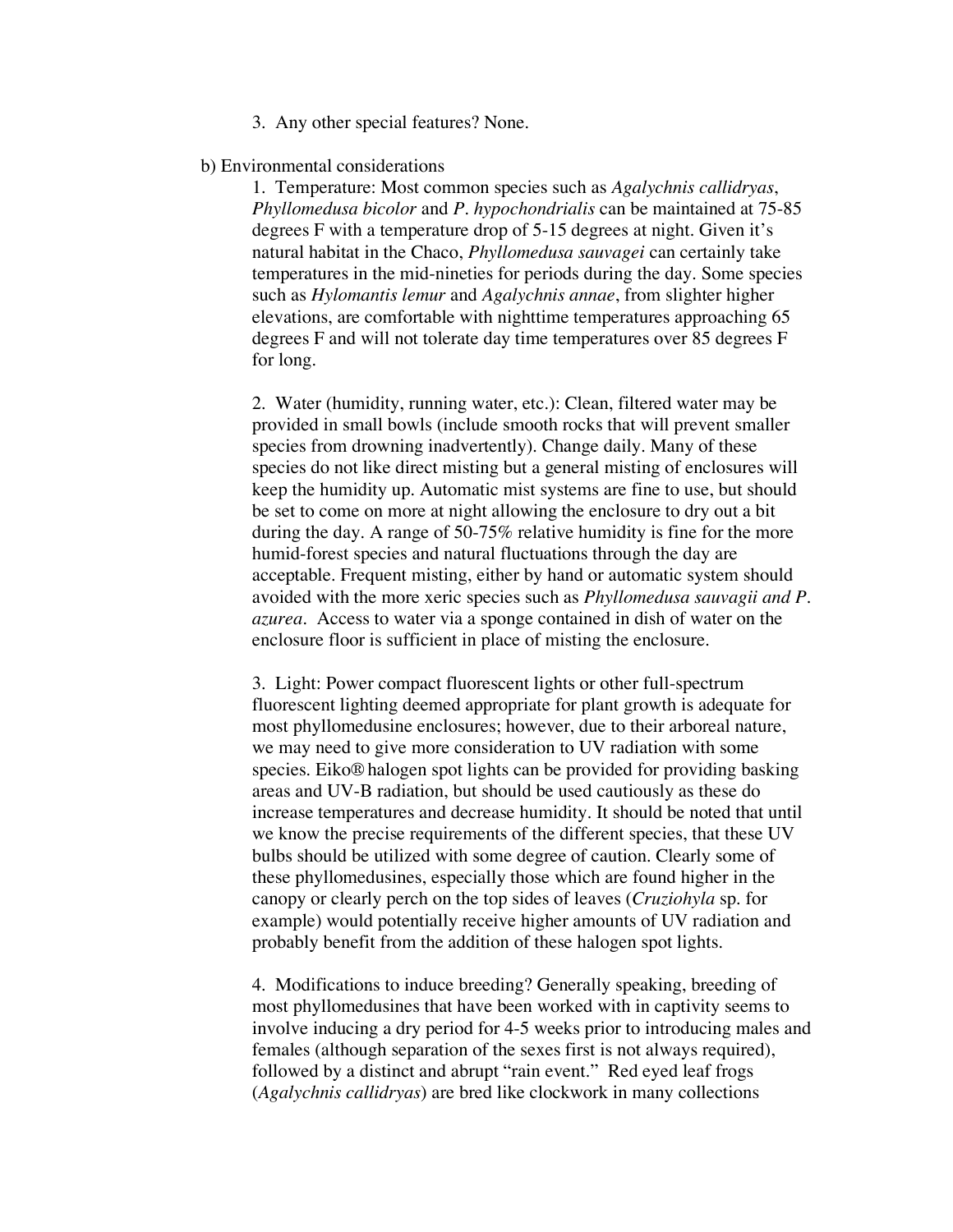3. Any other special features? None.

#### b) Environmental considerations

1. Temperature: Most common species such as *Agalychnis callidryas*, *Phyllomedusa bicolor* and *P. hypochondrialis* can be maintained at 75-85 degrees F with a temperature drop of 5-15 degrees at night. Given it's natural habitat in the Chaco, *Phyllomedusa sauvagei* can certainly take temperatures in the mid-nineties for periods during the day. Some species such as *Hylomantis lemur* and *Agalychnis annae*, from slighter higher elevations, are comfortable with nighttime temperatures approaching 65 degrees F and will not tolerate day time temperatures over 85 degrees F for long.

2. Water (humidity, running water, etc.): Clean, filtered water may be provided in small bowls (include smooth rocks that will prevent smaller species from drowning inadvertently). Change daily. Many of these species do not like direct misting but a general misting of enclosures will keep the humidity up. Automatic mist systems are fine to use, but should be set to come on more at night allowing the enclosure to dry out a bit during the day. A range of 50-75% relative humidity is fine for the more humid-forest species and natural fluctuations through the day are acceptable. Frequent misting, either by hand or automatic system should avoided with the more xeric species such as *Phyllomedusa sauvagii and P. azurea*. Access to water via a sponge contained in dish of water on the enclosure floor is sufficient in place of misting the enclosure.

3. Light: Power compact fluorescent lights or other full-spectrum fluorescent lighting deemed appropriate for plant growth is adequate for most phyllomedusine enclosures; however, due to their arboreal nature, we may need to give more consideration to UV radiation with some species. Eiko® halogen spot lights can be provided for providing basking areas and UV-B radiation, but should be used cautiously as these do increase temperatures and decrease humidity. It should be noted that until we know the precise requirements of the different species, that these UV bulbs should be utilized with some degree of caution. Clearly some of these phyllomedusines, especially those which are found higher in the canopy or clearly perch on the top sides of leaves (*Cruziohyla* sp. for example) would potentially receive higher amounts of UV radiation and probably benefit from the addition of these halogen spot lights.

4. Modifications to induce breeding? Generally speaking, breeding of most phyllomedusines that have been worked with in captivity seems to involve inducing a dry period for 4-5 weeks prior to introducing males and females (although separation of the sexes first is not always required), followed by a distinct and abrupt "rain event." Red eyed leaf frogs (*Agalychnis callidryas*) are bred like clockwork in many collections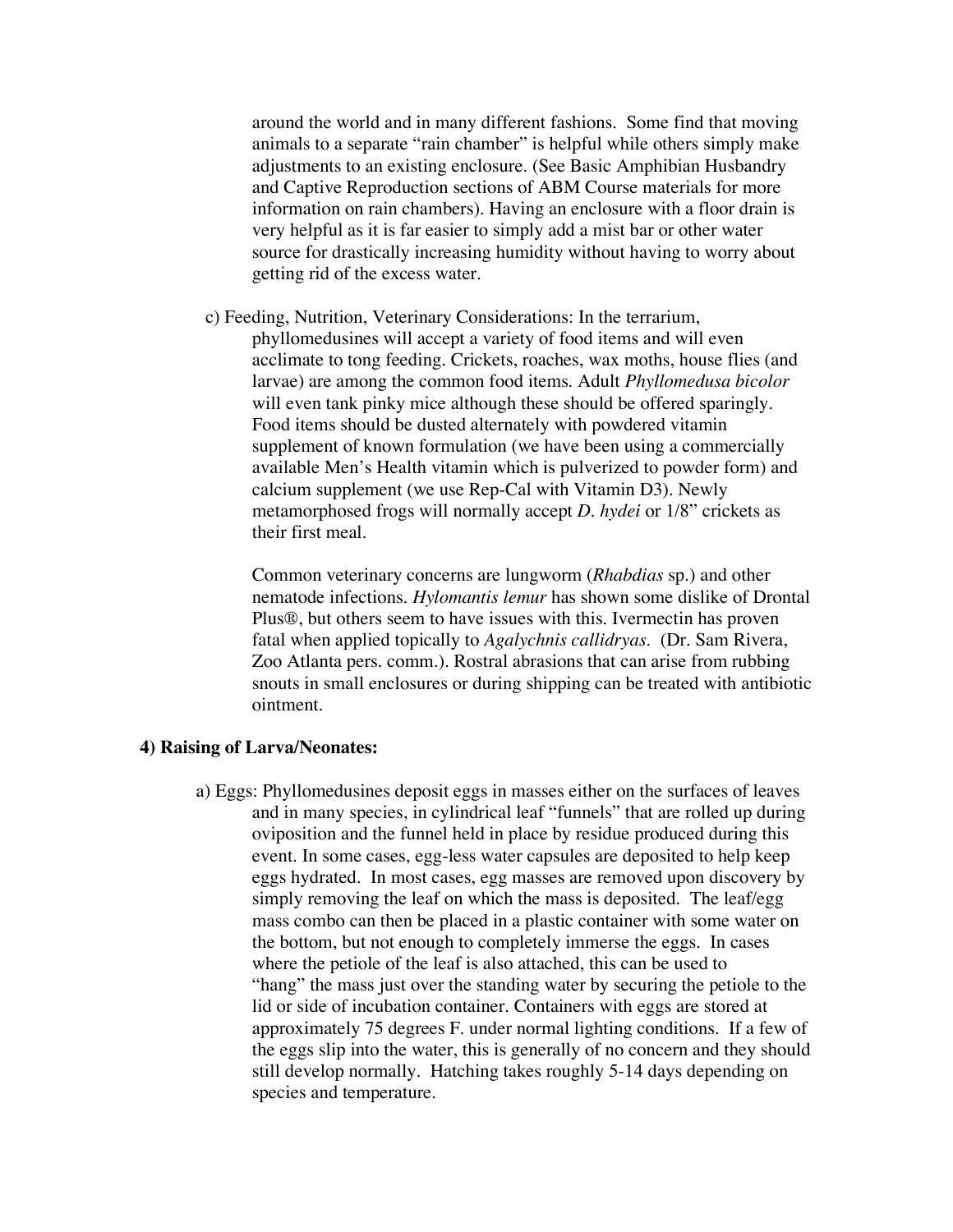around the world and in many different fashions. Some find that moving animals to a separate "rain chamber" is helpful while others simply make adjustments to an existing enclosure. (See Basic Amphibian Husbandry and Captive Reproduction sections of ABM Course materials for more information on rain chambers). Having an enclosure with a floor drain is very helpful as it is far easier to simply add a mist bar or other water source for drastically increasing humidity without having to worry about getting rid of the excess water.

 c) Feeding, Nutrition, Veterinary Considerations: In the terrarium, phyllomedusines will accept a variety of food items and will even acclimate to tong feeding. Crickets, roaches, wax moths, house flies (and larvae) are among the common food items. Adult *Phyllomedusa bicolor* will even tank pinky mice although these should be offered sparingly. Food items should be dusted alternately with powdered vitamin supplement of known formulation (we have been using a commercially available Men's Health vitamin which is pulverized to powder form) and calcium supplement (we use Rep-Cal with Vitamin D3). Newly metamorphosed frogs will normally accept *D. hydei* or 1/8" crickets as their first meal.

Common veterinary concerns are lungworm (*Rhabdias* sp.) and other nematode infections. *Hylomantis lemur* has shown some dislike of Drontal Plus®, but others seem to have issues with this. Ivermectin has proven fatal when applied topically to *Agalychnis callidryas*. (Dr. Sam Rivera, Zoo Atlanta pers. comm.). Rostral abrasions that can arise from rubbing snouts in small enclosures or during shipping can be treated with antibiotic ointment.

#### **4) Raising of Larva/Neonates:**

a) Eggs: Phyllomedusines deposit eggs in masses either on the surfaces of leaves and in many species, in cylindrical leaf "funnels" that are rolled up during oviposition and the funnel held in place by residue produced during this event. In some cases, egg-less water capsules are deposited to help keep eggs hydrated. In most cases, egg masses are removed upon discovery by simply removing the leaf on which the mass is deposited. The leaf/egg mass combo can then be placed in a plastic container with some water on the bottom, but not enough to completely immerse the eggs. In cases where the petiole of the leaf is also attached, this can be used to "hang" the mass just over the standing water by securing the petiole to the lid or side of incubation container. Containers with eggs are stored at approximately 75 degrees F. under normal lighting conditions. If a few of the eggs slip into the water, this is generally of no concern and they should still develop normally. Hatching takes roughly 5-14 days depending on species and temperature.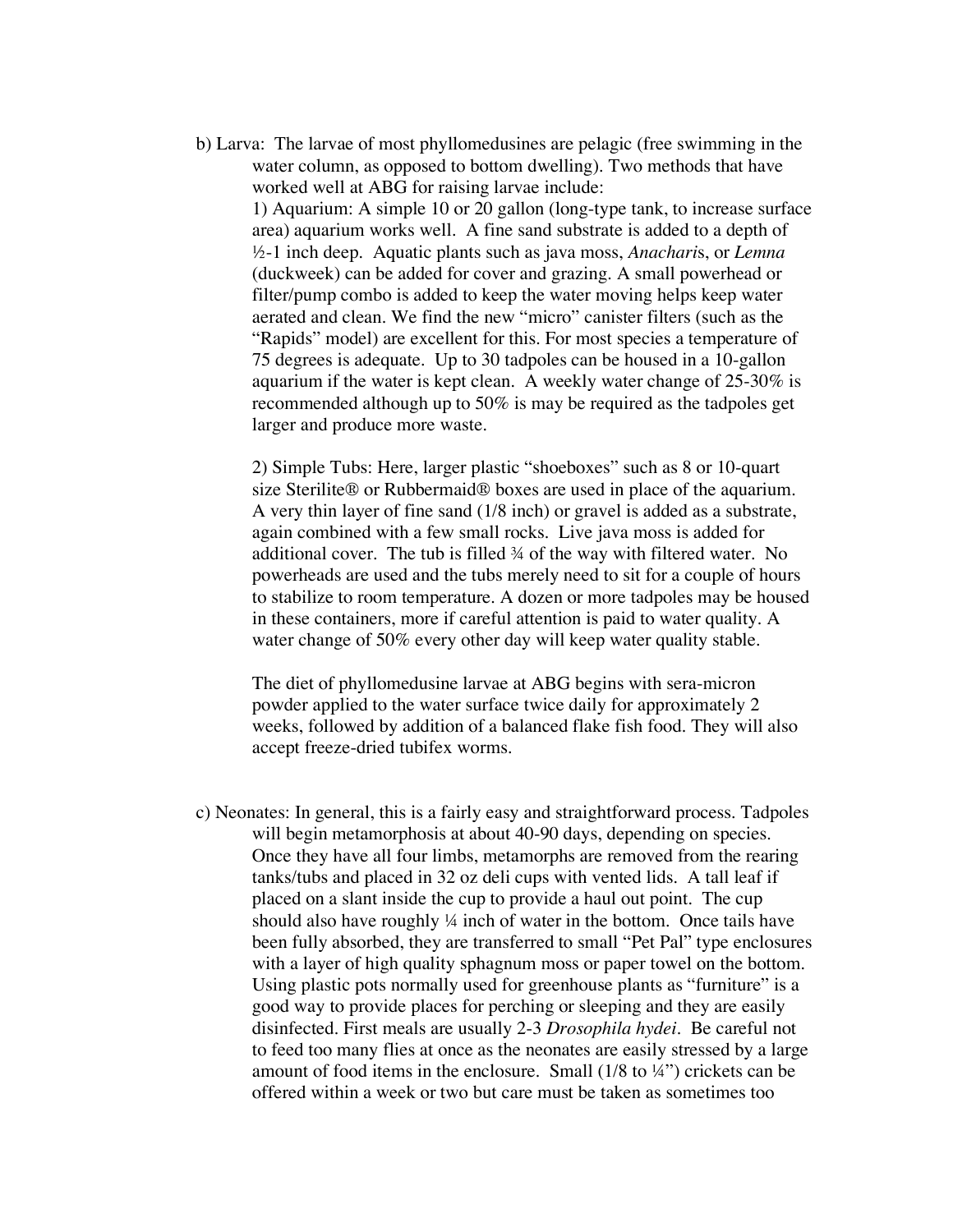b) Larva: The larvae of most phyllomedusines are pelagic (free swimming in the water column, as opposed to bottom dwelling). Two methods that have worked well at ABG for raising larvae include: 1) Aquarium: A simple 10 or 20 gallon (long-type tank, to increase surface area) aquarium works well. A fine sand substrate is added to a depth of ½-1 inch deep. Aquatic plants such as java moss, *Anachari*s, or *Lemna* (duckweek) can be added for cover and grazing. A small powerhead or filter/pump combo is added to keep the water moving helps keep water aerated and clean. We find the new "micro" canister filters (such as the "Rapids" model) are excellent for this. For most species a temperature of 75 degrees is adequate. Up to 30 tadpoles can be housed in a 10-gallon aquarium if the water is kept clean. A weekly water change of 25-30% is recommended although up to 50% is may be required as the tadpoles get larger and produce more waste.

2) Simple Tubs: Here, larger plastic "shoeboxes" such as 8 or 10-quart size Sterilite® or Rubbermaid® boxes are used in place of the aquarium. A very thin layer of fine sand (1/8 inch) or gravel is added as a substrate, again combined with a few small rocks. Live java moss is added for additional cover. The tub is filled ¾ of the way with filtered water. No powerheads are used and the tubs merely need to sit for a couple of hours to stabilize to room temperature. A dozen or more tadpoles may be housed in these containers, more if careful attention is paid to water quality. A water change of 50% every other day will keep water quality stable.

The diet of phyllomedusine larvae at ABG begins with sera-micron powder applied to the water surface twice daily for approximately 2 weeks, followed by addition of a balanced flake fish food. They will also accept freeze-dried tubifex worms.

c) Neonates: In general, this is a fairly easy and straightforward process. Tadpoles will begin metamorphosis at about 40-90 days, depending on species. Once they have all four limbs, metamorphs are removed from the rearing tanks/tubs and placed in 32 oz deli cups with vented lids. A tall leaf if placed on a slant inside the cup to provide a haul out point. The cup should also have roughly ¼ inch of water in the bottom. Once tails have been fully absorbed, they are transferred to small "Pet Pal" type enclosures with a layer of high quality sphagnum moss or paper towel on the bottom. Using plastic pots normally used for greenhouse plants as "furniture" is a good way to provide places for perching or sleeping and they are easily disinfected. First meals are usually 2-3 *Drosophila hydei*. Be careful not to feed too many flies at once as the neonates are easily stressed by a large amount of food items in the enclosure. Small (1/8 to ¼") crickets can be offered within a week or two but care must be taken as sometimes too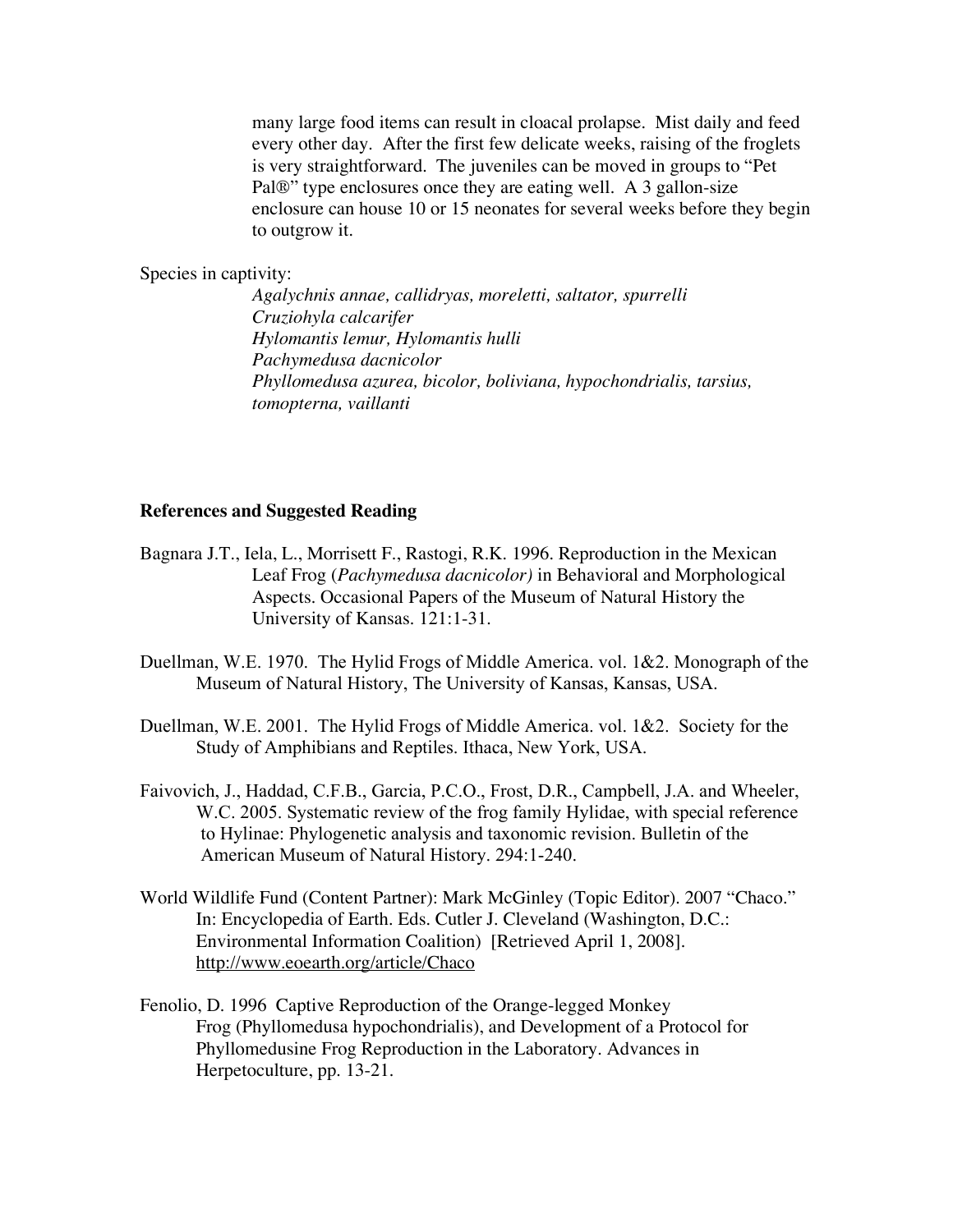many large food items can result in cloacal prolapse. Mist daily and feed every other day. After the first few delicate weeks, raising of the froglets is very straightforward. The juveniles can be moved in groups to "Pet Pal®" type enclosures once they are eating well. A 3 gallon-size enclosure can house 10 or 15 neonates for several weeks before they begin to outgrow it.

Species in captivity:

*Agalychnis annae, callidryas, moreletti, saltator, spurrelli Cruziohyla calcarifer Hylomantis lemur, Hylomantis hulli Pachymedusa dacnicolor Phyllomedusa azurea, bicolor, boliviana, hypochondrialis, tarsius, tomopterna, vaillanti*

#### **References and Suggested Reading**

- Bagnara J.T., Iela, L., Morrisett F., Rastogi, R.K. 1996. Reproduction in the Mexican Leaf Frog (*Pachymedusa dacnicolor)* in Behavioral and Morphological Aspects. Occasional Papers of the Museum of Natural History the University of Kansas. 121:1-31.
- Duellman, W.E. 1970. The Hylid Frogs of Middle America. vol. 1&2. Monograph of the Museum of Natural History, The University of Kansas, Kansas, USA.
- Duellman, W.E. 2001. The Hylid Frogs of Middle America. vol. 1&2. Society for the Study of Amphibians and Reptiles. Ithaca, New York, USA.
- Faivovich, J., Haddad, C.F.B., Garcia, P.C.O., Frost, D.R., Campbell, J.A. and Wheeler, W.C. 2005. Systematic review of the frog family Hylidae, with special reference to Hylinae: Phylogenetic analysis and taxonomic revision. Bulletin of the American Museum of Natural History. 294:1-240.
- World Wildlife Fund (Content Partner): Mark McGinley (Topic Editor). 2007 "Chaco." In: Encyclopedia of Earth. Eds. Cutler J. Cleveland (Washington, D.C.: Environmental Information Coalition) [Retrieved April 1, 2008]. http://www.eoearth.org/article/Chaco
- Fenolio, D. 1996 Captive Reproduction of the Orange-legged Monkey Frog (Phyllomedusa hypochondrialis), and Development of a Protocol for Phyllomedusine Frog Reproduction in the Laboratory. Advances in Herpetoculture, pp. 13-21.